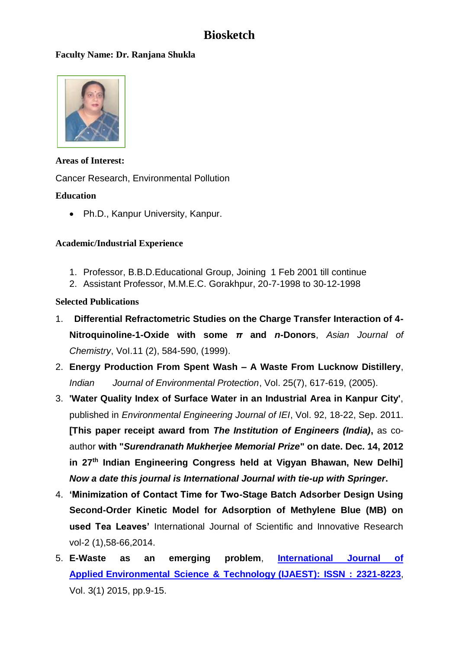# **Biosketch**

### **Faculty Name: Dr. Ranjana Shukla**



Areas of Interest: Cancer Research, Environmental Pollution Faculty Image

## **Education**

• Ph.D., Kanpur University, Kanpur.

### **Academic/Industrial Experience**

- 1. Professor, B.B.D.Educational Group, Joining 1 Feb 2001 till continue
- 2. Assistant Professor, M.M.E.C. Gorakhpur, 20-7-1998 to 30-12-1998

### **Selected Publications**

- 1. **Differential Refractometric Studies on the Charge Transfer Interaction of 4- Nitroquinoline-1-Oxide with some** *π* **and** *n***-Donors**, *Asian Journal of Chemistry*, VoI.11 (2), 584-590, (1999).
- 2. **Energy Production From Spent Wash – A Waste From Lucknow Distillery**, *Indian Journal of Environmental Protection*, Vol. 25(7), 617-619, (2005).
- 3. **'Water Quality Index of Surface Water in an Industrial Area in Kanpur City'**, published in *Environmental Engineering Journal of IEI*, Vol. 92, 18-22, Sep. 2011. **[This paper receipt award from** *The Institution of Engineers (India)***,** as coauthor **with "***Surendranath Mukherjee Memorial Prize***" on date. Dec. 14, 2012 in 27 th Indian Engineering Congress held at Vigyan Bhawan, New Delhi]**  *Now a date this journal is International Journal with tie-up with Springer***.**
- 4. **'Minimization of Contact Time for Two-Stage Batch Adsorber Design Using Second-Order Kinetic Model for Adsorption of Methylene Blue (MB) on used Tea Leaves'** International Journal of Scientific and Innovative Research vol-2 (1),58-66,2014.
- 5. **E-Waste as an emerging problem**, **[International Journal of](http://www.manishanpp.com/environment)  Applied [Environmental Science & Technology](http://www.manishanpp.com/environment) (IJAEST): ISSN : 2321-8223**, Vol. 3(1) 2015, pp.9-15.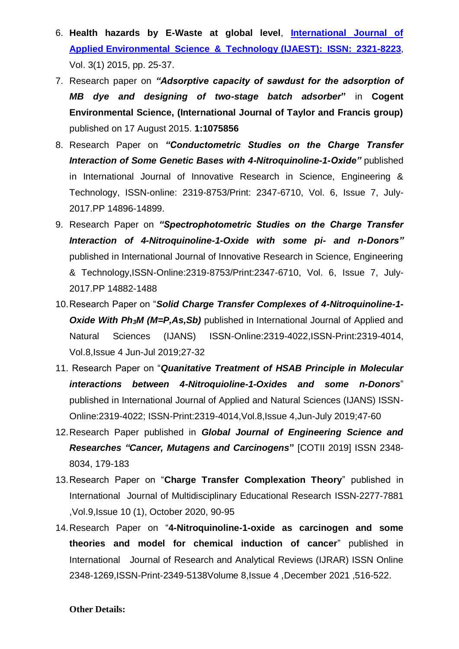- 6. **Health hazards by E-Waste at global level**, **[International Journal of](http://www.manishanpp.com/environment)  Applied [Environmental Science & Technology](http://www.manishanpp.com/environment) (IJAEST): ISSN: 2321-8223**, Vol. 3(1) 2015, pp. 25-37.
- 7. Research paper on *"Adsorptive capacity of sawdust for the adsorption of MB dye and designing of two-stage batch adsorber***"** in **Cogent Environmental Science, (International Journal of Taylor and Francis group)**  published on 17 August 2015. **1:1075856**
- 8. Research Paper on *"Conductometric Studies on the Charge Transfer Interaction of Some Genetic Bases with 4-Nitroquinoline-1-Oxide"* published in International Journal of Innovative Research in Science, Engineering & Technology, ISSN-online: 2319-8753/Print: 2347-6710, Vol. 6, Issue 7, July-2017.PP 14896-14899.
- 9. Research Paper on *"Spectrophotometric Studies on the Charge Transfer Interaction of 4-Nitroquinoline-1-Oxide with some pi- and n-Donors"*  published in International Journal of Innovative Research in Science, Engineering & Technology,ISSN-Online:2319-8753/Print:2347-6710, Vol. 6, Issue 7, July-2017.PP 14882-1488
- 10.Research Paper on "*Solid Charge Transfer Complexes of 4-Nitroquinoline-1- Oxide With Ph3M (M=P,As,Sb)* published in International Journal of Applied and Natural Sciences (IJANS) ISSN-Online:2319-4022,ISSN-Print:2319-4014, Vol.8,Issue 4 Jun-Jul 2019;27-32
- 11. Research Paper on "*Quanitative Treatment of HSAB Principle in Molecular interactions between 4-Nitroquioline-1-Oxides and some n-Donors*" published in International Journal of Applied and Natural Sciences (IJANS) ISSN-Online:2319-4022; ISSN-Print:2319-4014,Vol.8,Issue 4,Jun-July 2019;47-60
- 12.Research Paper published in *Global Journal of Engineering Science and Researches "Cancer, Mutagens and Carcinogens***"** [COTII 2019] ISSN 2348- 8034, 179-183
- 13.Research Paper on "**Charge Transfer Complexation Theory**" published in International Journal of Multidisciplinary Educational Research ISSN-2277-7881 ,Vol.9,Issue 10 (1), October 2020, 90-95
- 14.Research Paper on "**4-Nitroquinoline-1-oxide as carcinogen and some theories and model for chemical induction of cancer**" published in International Journal of Research and Analytical Reviews (IJRAR) ISSN Online 2348-1269,ISSN-Print-2349-5138Volume 8,Issue 4 ,December 2021 ,516-522.

#### **Other Details:**